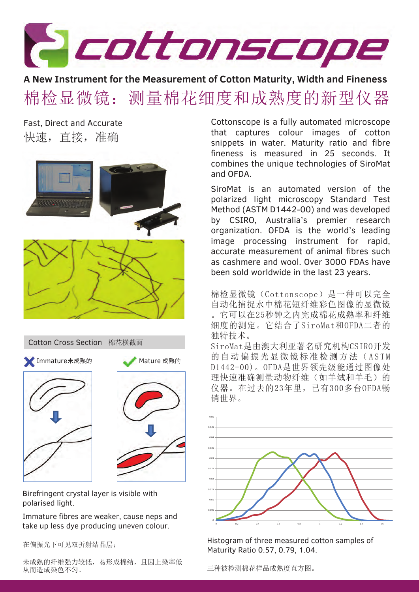

**A New Instrument for the Measurement of Cotton Maturity, Width and Fineness** 棉检显微镜:测量棉花细度和成熟度的新型仪器

Fast, Direct and Accurate 快速,直接,准确



Cotton Cross Section 棉花横截面



Birefringent crystal layer is visible with polarised light.

Immature fibres are weaker, cause neps and take up less dye producing uneven colour.

在偏振光下可见双折射结晶层;

未成熟的纤维强力较低,易形成棉结,且因上染率低 从而造成染色不匀。

Cottonscope is a fully automated microscope that captures colour images of cotton snippets in water. Maturity ratio and fibre fineness is measured in 25 seconds. It combines the unique technologies of SiroMat and OFDA.

SiroMat is an automated version of the polarized light microscopy Standard Test Method (ASTM D1442-00) and was developed by CSIRO, Australia's premier research organization. OFDA is the world's leading image processing instrument for rapid, accurate measurement of animal fibres such as cashmere and wool. Over 300O FDAs have been sold worldwide in the last 23 years.

棉检显微镜(Cottonscope)是一种可以完全 自动化捕捉水中棉花短纤维彩色图像的显微镜 。它可以在25秒钟之内完成棉花成熟率和纤维 细度的测定。它结合了SiroMat和OFDA二者的 独特技术。

SiroMat是由澳大利亚著名研究机构CSIRO开发 的自动偏振光显微镜标准检测方法(ASTM D1442-00)。OFDA是世界领先级能通过图像处 理快速准确测量动物纤维(如羊绒和羊毛)的 仪器。在过去的23年里,已有300多台OFDA畅 销世界。



Histogram of three measured cotton samples of Maturity Ratio 0.57, 0.79, 1.04.

三种被检测棉花样品成熟度直方图。